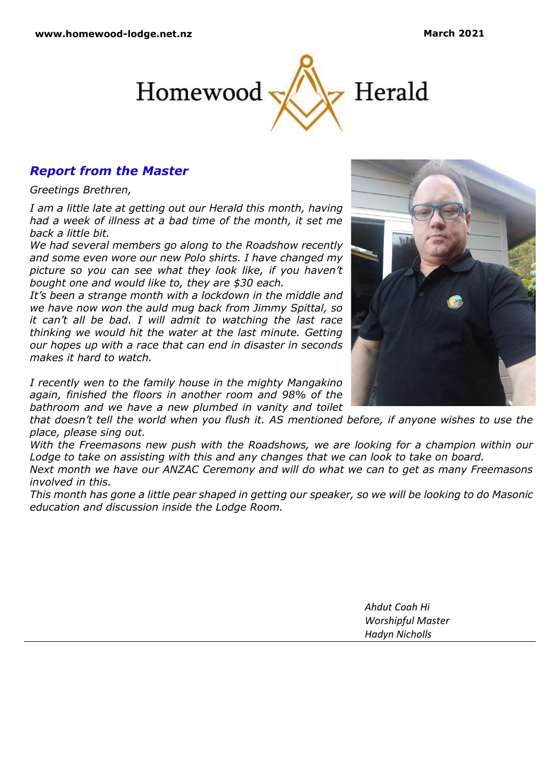

# *Report from the Master*

*Greetings Brethren,*

*I am a little late at getting out our Herald this month, having had a week of illness at a bad time of the month, it set me back a little bit.*

*We had several members go along to the Roadshow recently and some even wore our new Polo shirts. I have changed my picture so you can see what they look like, if you haven't bought one and would like to, they are \$30 each.*

*It's been a strange month with a lockdown in the middle and we have now won the auld mug back from Jimmy Spittal, so it can't all be bad. I will admit to watching the last race thinking we would hit the water at the last minute. Getting our hopes up with a race that can end in disaster in seconds makes it hard to watch.*

*I recently wen to the family house in the mighty Mangakino again, finished the floors in another room and 98% of the bathroom and we have a new plumbed in vanity and toilet* 

*that doesn't tell the world when you flush it. AS mentioned before, if anyone wishes to use the place, please sing out.*

*With the Freemasons new push with the Roadshows, we are looking for a champion within our Lodge to take on assisting with this and any changes that we can look to take on board.*

*Next month we have our ANZAC Ceremony and will do what we can to get as many Freemasons involved in this.*

*This month has gone a little pear shaped in getting our speaker, so we will be looking to do Masonic education and discussion inside the Lodge Room.*

> *Ahdut Coah Hi Worshipful Master Hadyn Nicholls*

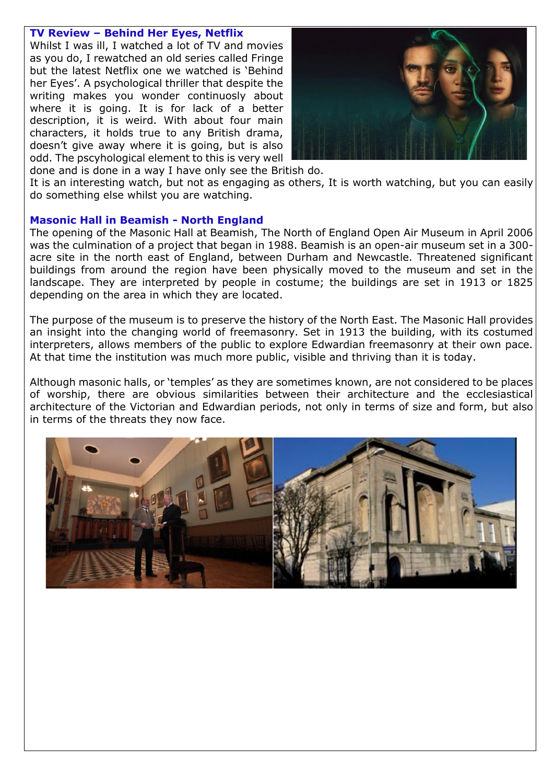# **TV Review – Behind Her Eyes, Netflix**

Whilst I was ill, I watched a lot of TV and movies as you do, I rewatched an old series called Fringe but the latest Netflix one we watched is 'Behind her Eyes'. A psychological thriller that despite the writing makes you wonder continuosly about where it is going. It is for lack of a better description, it is weird. With about four main characters, it holds true to any British drama, doesn't give away where it is going, but is also odd. The pscyhological element to this is very well



done and is done in a way I have only see the British do. It is an interesting watch, but not as engaging as others, It is worth watching, but you can easily do something else whilst you are watching.

# **Masonic Hall in Beamish - North England**

The opening of the Masonic Hall at Beamish, The North of England Open Air Museum in April 2006 was the culmination of a project that began in 1988. Beamish is an open-air museum set in a 300 acre site in the north east of England, between Durham and Newcastle. Threatened significant buildings from around the region have been physically moved to the museum and set in the landscape. They are interpreted by people in costume; the buildings are set in 1913 or 1825 depending on the area in which they are located.

The purpose of the museum is to preserve the history of the North East. The Masonic Hall provides an insight into the changing world of freemasonry. Set in 1913 the building, with its costumed interpreters, allows members of the public to explore Edwardian freemasonry at their own pace. At that time the institution was much more public, visible and thriving than it is today.

Although masonic halls, or 'temples' as they are sometimes known, are not considered to be places of worship, there are obvious similarities between their architecture and the ecclesiastical architecture of the Victorian and Edwardian periods, not only in terms of size and form, but also in terms of the threats they now face.